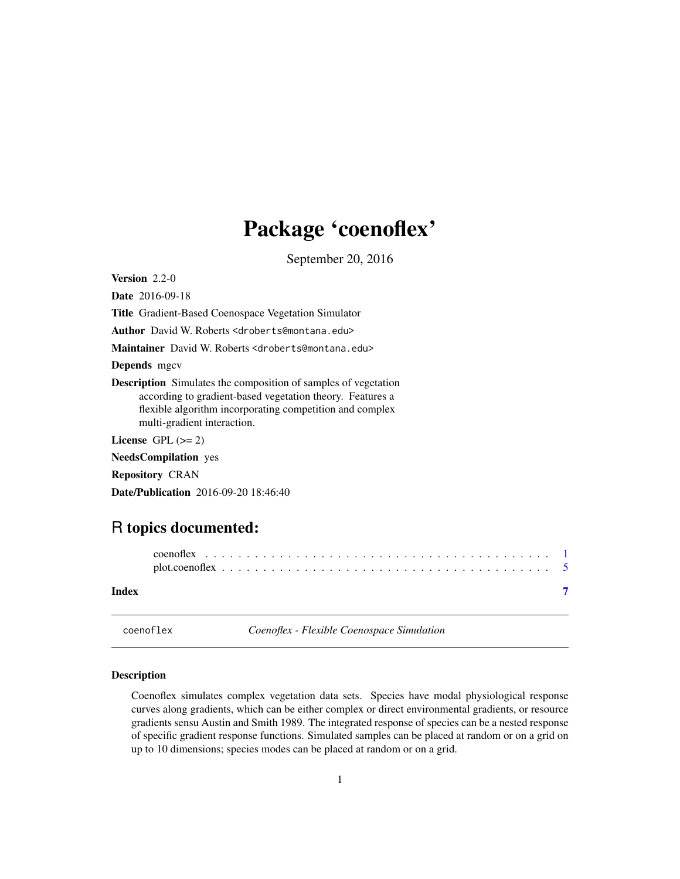## <span id="page-0-0"></span>Package 'coenoflex'

September 20, 2016

Version 2.2-0

Date 2016-09-18

Title Gradient-Based Coenospace Vegetation Simulator

Author David W. Roberts <droberts@montana.edu>

Maintainer David W. Roberts <droberts@montana.edu>

Depends mgcv

Description Simulates the composition of samples of vegetation according to gradient-based vegetation theory. Features a flexible algorithm incorporating competition and complex multi-gradient interaction.

License GPL  $(>= 2)$ 

NeedsCompilation yes

Repository CRAN

Date/Publication 2016-09-20 18:46:40

### R topics documented:

| Index |  |  |  |  |  |  |  |  |  |  |  |  |  |  |  |  |  |  |
|-------|--|--|--|--|--|--|--|--|--|--|--|--|--|--|--|--|--|--|

coenoflex *Coenoflex - Flexible Coenospace Simulation*

#### Description

Coenoflex simulates complex vegetation data sets. Species have modal physiological response curves along gradients, which can be either complex or direct environmental gradients, or resource gradients sensu Austin and Smith 1989. The integrated response of species can be a nested response of specific gradient response functions. Simulated samples can be placed at random or on a grid on up to 10 dimensions; species modes can be placed at random or on a grid.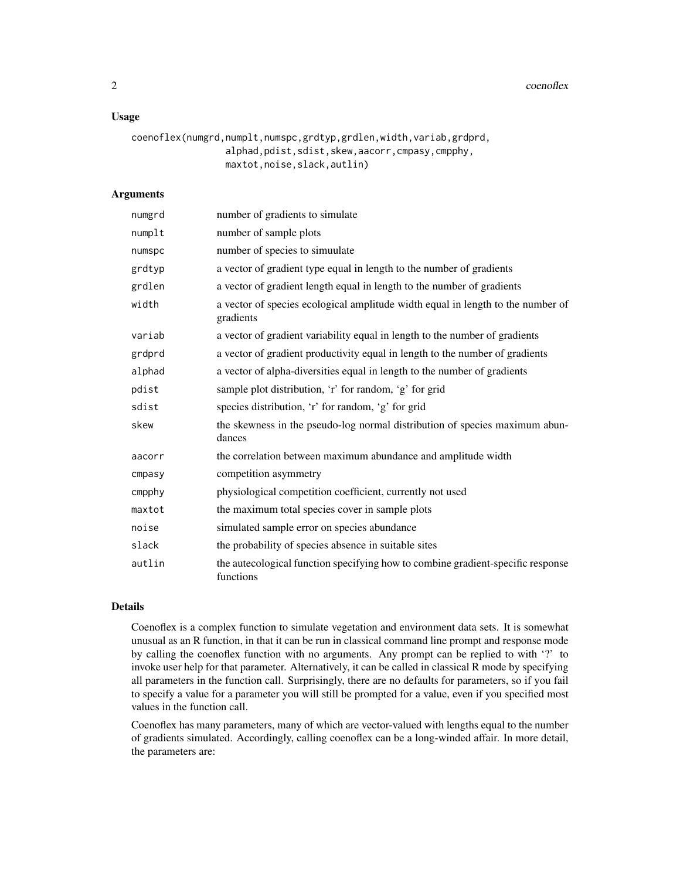2 coenoflex coenoflex

#### Usage

```
coenoflex(numgrd,numplt,numspc,grdtyp,grdlen,width,variab,grdprd,
                 alphad,pdist,sdist,skew,aacorr,cmpasy,cmpphy,
                 maxtot,noise,slack,autlin)
```
#### Arguments

| numgrd | number of gradients to simulate                                                              |
|--------|----------------------------------------------------------------------------------------------|
| numplt | number of sample plots                                                                       |
| numspc | number of species to simuulate                                                               |
| grdtyp | a vector of gradient type equal in length to the number of gradients                         |
| grdlen | a vector of gradient length equal in length to the number of gradients                       |
| width  | a vector of species ecological amplitude width equal in length to the number of<br>gradients |
| variab | a vector of gradient variability equal in length to the number of gradients                  |
| grdprd | a vector of gradient productivity equal in length to the number of gradients                 |
| alphad | a vector of alpha-diversities equal in length to the number of gradients                     |
| pdist  | sample plot distribution, 'r' for random, 'g' for grid                                       |
| sdist  | species distribution, 'r' for random, 'g' for grid                                           |
| skew   | the skewness in the pseudo-log normal distribution of species maximum abun-<br>dances        |
| aacorr | the correlation between maximum abundance and amplitude width                                |
| cmpasy | competition asymmetry                                                                        |
| cmpphy | physiological competition coefficient, currently not used                                    |
| maxtot | the maximum total species cover in sample plots                                              |
| noise  | simulated sample error on species abundance                                                  |
| slack  | the probability of species absence in suitable sites                                         |
| autlin | the autecological function specifying how to combine gradient-specific response<br>functions |

#### Details

Coenoflex is a complex function to simulate vegetation and environment data sets. It is somewhat unusual as an R function, in that it can be run in classical command line prompt and response mode by calling the coenoflex function with no arguments. Any prompt can be replied to with '?' to invoke user help for that parameter. Alternatively, it can be called in classical R mode by specifying all parameters in the function call. Surprisingly, there are no defaults for parameters, so if you fail to specify a value for a parameter you will still be prompted for a value, even if you specified most values in the function call.

Coenoflex has many parameters, many of which are vector-valued with lengths equal to the number of gradients simulated. Accordingly, calling coenoflex can be a long-winded affair. In more detail, the parameters are: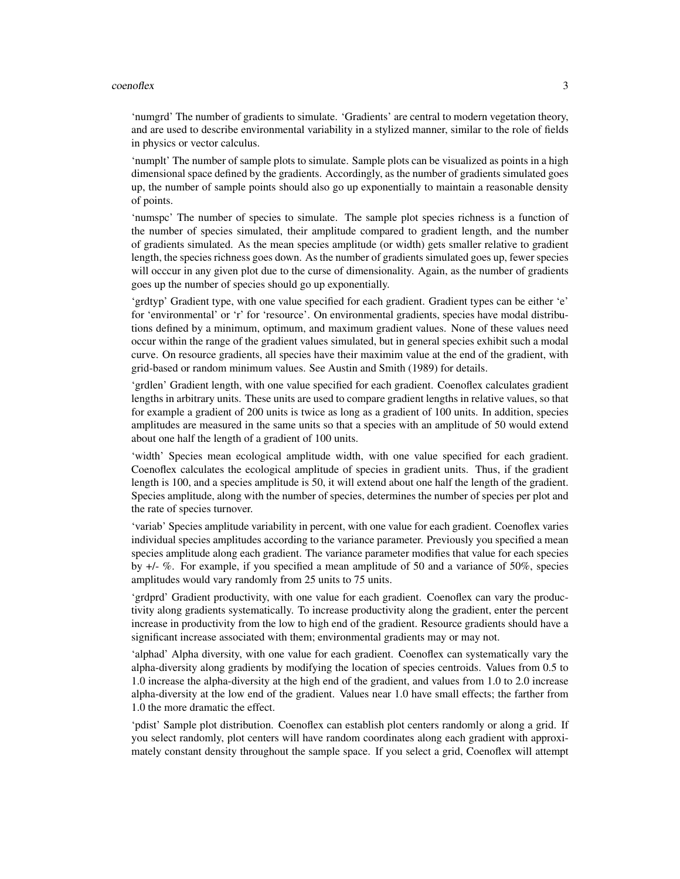#### coenoflex 3

'numgrd' The number of gradients to simulate. 'Gradients' are central to modern vegetation theory, and are used to describe environmental variability in a stylized manner, similar to the role of fields in physics or vector calculus.

'numplt' The number of sample plots to simulate. Sample plots can be visualized as points in a high dimensional space defined by the gradients. Accordingly, as the number of gradients simulated goes up, the number of sample points should also go up exponentially to maintain a reasonable density of points.

'numspc' The number of species to simulate. The sample plot species richness is a function of the number of species simulated, their amplitude compared to gradient length, and the number of gradients simulated. As the mean species amplitude (or width) gets smaller relative to gradient length, the species richness goes down. As the number of gradients simulated goes up, fewer species will occcur in any given plot due to the curse of dimensionality. Again, as the number of gradients goes up the number of species should go up exponentially.

'grdtyp' Gradient type, with one value specified for each gradient. Gradient types can be either 'e' for 'environmental' or 'r' for 'resource'. On environmental gradients, species have modal distributions defined by a minimum, optimum, and maximum gradient values. None of these values need occur within the range of the gradient values simulated, but in general species exhibit such a modal curve. On resource gradients, all species have their maximim value at the end of the gradient, with grid-based or random minimum values. See Austin and Smith (1989) for details.

'grdlen' Gradient length, with one value specified for each gradient. Coenoflex calculates gradient lengths in arbitrary units. These units are used to compare gradient lengths in relative values, so that for example a gradient of 200 units is twice as long as a gradient of 100 units. In addition, species amplitudes are measured in the same units so that a species with an amplitude of 50 would extend about one half the length of a gradient of 100 units.

'width' Species mean ecological amplitude width, with one value specified for each gradient. Coenoflex calculates the ecological amplitude of species in gradient units. Thus, if the gradient length is 100, and a species amplitude is 50, it will extend about one half the length of the gradient. Species amplitude, along with the number of species, determines the number of species per plot and the rate of species turnover.

'variab' Species amplitude variability in percent, with one value for each gradient. Coenoflex varies individual species amplitudes according to the variance parameter. Previously you specified a mean species amplitude along each gradient. The variance parameter modifies that value for each species by +/- %. For example, if you specified a mean amplitude of 50 and a variance of 50%, species amplitudes would vary randomly from 25 units to 75 units.

'grdprd' Gradient productivity, with one value for each gradient. Coenoflex can vary the productivity along gradients systematically. To increase productivity along the gradient, enter the percent increase in productivity from the low to high end of the gradient. Resource gradients should have a significant increase associated with them; environmental gradients may or may not.

'alphad' Alpha diversity, with one value for each gradient. Coenoflex can systematically vary the alpha-diversity along gradients by modifying the location of species centroids. Values from 0.5 to 1.0 increase the alpha-diversity at the high end of the gradient, and values from 1.0 to 2.0 increase alpha-diversity at the low end of the gradient. Values near 1.0 have small effects; the farther from 1.0 the more dramatic the effect.

'pdist' Sample plot distribution. Coenoflex can establish plot centers randomly or along a grid. If you select randomly, plot centers will have random coordinates along each gradient with approximately constant density throughout the sample space. If you select a grid, Coenoflex will attempt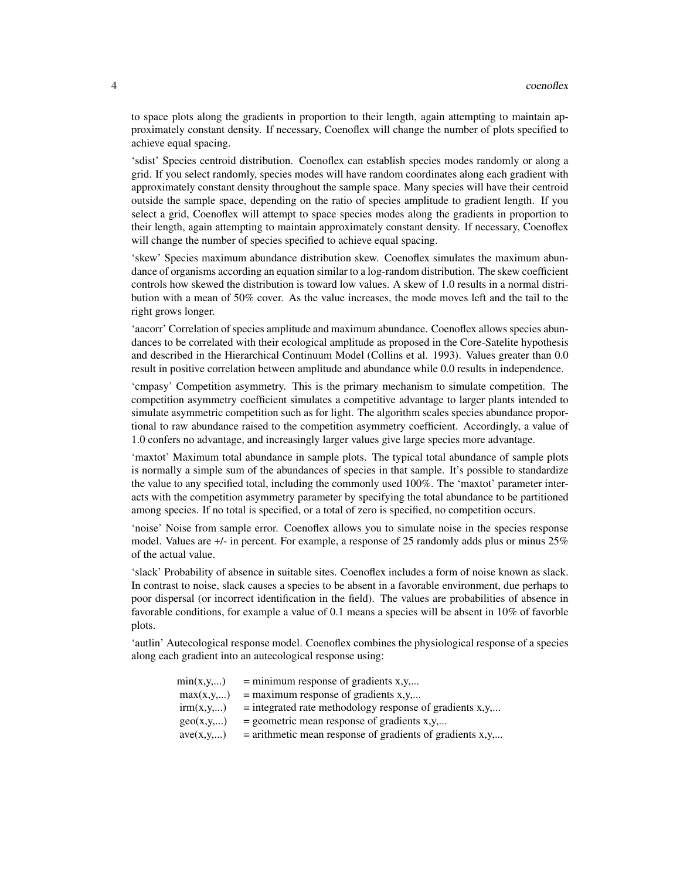to space plots along the gradients in proportion to their length, again attempting to maintain approximately constant density. If necessary, Coenoflex will change the number of plots specified to achieve equal spacing.

'sdist' Species centroid distribution. Coenoflex can establish species modes randomly or along a grid. If you select randomly, species modes will have random coordinates along each gradient with approximately constant density throughout the sample space. Many species will have their centroid outside the sample space, depending on the ratio of species amplitude to gradient length. If you select a grid, Coenoflex will attempt to space species modes along the gradients in proportion to their length, again attempting to maintain approximately constant density. If necessary, Coenoflex will change the number of species specified to achieve equal spacing.

'skew' Species maximum abundance distribution skew. Coenoflex simulates the maximum abundance of organisms according an equation similar to a log-random distribution. The skew coefficient controls how skewed the distribution is toward low values. A skew of 1.0 results in a normal distribution with a mean of 50% cover. As the value increases, the mode moves left and the tail to the right grows longer.

'aacorr' Correlation of species amplitude and maximum abundance. Coenoflex allows species abundances to be correlated with their ecological amplitude as proposed in the Core-Satelite hypothesis and described in the Hierarchical Continuum Model (Collins et al. 1993). Values greater than 0.0 result in positive correlation between amplitude and abundance while 0.0 results in independence.

'cmpasy' Competition asymmetry. This is the primary mechanism to simulate competition. The competition asymmetry coefficient simulates a competitive advantage to larger plants intended to simulate asymmetric competition such as for light. The algorithm scales species abundance proportional to raw abundance raised to the competition asymmetry coefficient. Accordingly, a value of 1.0 confers no advantage, and increasingly larger values give large species more advantage.

'maxtot' Maximum total abundance in sample plots. The typical total abundance of sample plots is normally a simple sum of the abundances of species in that sample. It's possible to standardize the value to any specified total, including the commonly used 100%. The 'maxtot' parameter interacts with the competition asymmetry parameter by specifying the total abundance to be partitioned among species. If no total is specified, or a total of zero is specified, no competition occurs.

'noise' Noise from sample error. Coenoflex allows you to simulate noise in the species response model. Values are +/- in percent. For example, a response of 25 randomly adds plus or minus 25% of the actual value.

'slack' Probability of absence in suitable sites. Coenoflex includes a form of noise known as slack. In contrast to noise, slack causes a species to be absent in a favorable environment, due perhaps to poor dispersal (or incorrect identification in the field). The values are probabilities of absence in favorable conditions, for example a value of 0.1 means a species will be absent in 10% of favorble plots.

'autlin' Autecological response model. Coenoflex combines the physiological response of a species along each gradient into an autecological response using:

| min(x,y,) | $=$ minimum response of gradients x, y,                     |
|-----------|-------------------------------------------------------------|
| max(x,y,) | $=$ maximum response of gradients x,y,                      |
| irm(x,y,) | $=$ integrated rate methodology response of gradients x,y,  |
| geo(x,y,) | $=$ geometric mean response of gradients x, y,              |
| ave(x,y,) | $=$ arithmetic mean response of gradients of gradients x,y, |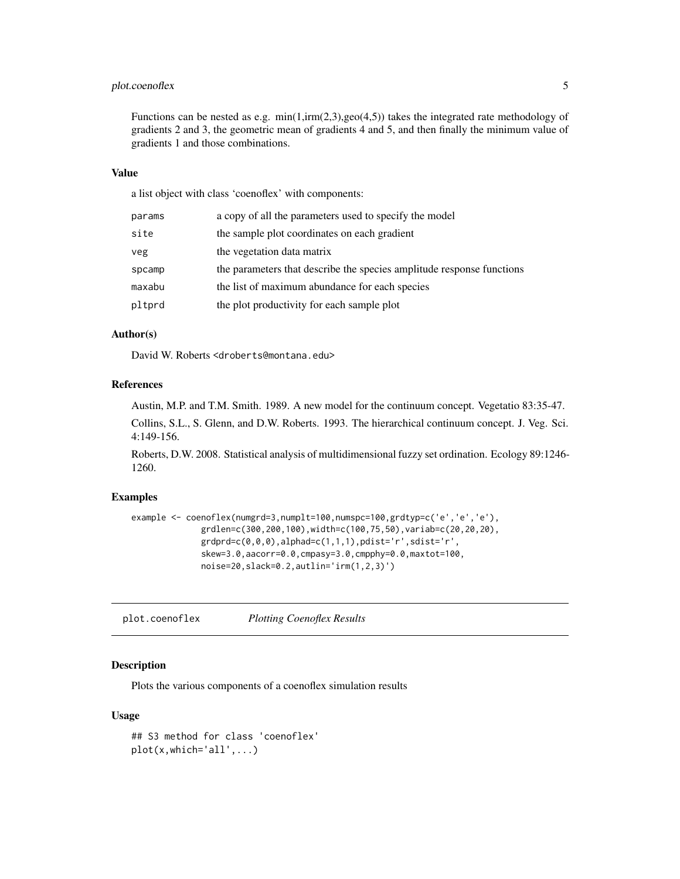#### <span id="page-4-0"></span>plot.coenoflex 5

Functions can be nested as e.g.  $min(1,irm(2,3),geo(4,5))$  takes the integrated rate methodology of gradients 2 and 3, the geometric mean of gradients 4 and 5, and then finally the minimum value of gradients 1 and those combinations.

#### Value

a list object with class 'coenoflex' with components:

| params | a copy of all the parameters used to specify the model                |
|--------|-----------------------------------------------------------------------|
| site   | the sample plot coordinates on each gradient                          |
| veg    | the vegetation data matrix                                            |
| spcamp | the parameters that describe the species amplitude response functions |
| maxabu | the list of maximum abundance for each species                        |
| pltprd | the plot productivity for each sample plot                            |

#### Author(s)

David W. Roberts <droberts@montana.edu>

#### References

Austin, M.P. and T.M. Smith. 1989. A new model for the continuum concept. Vegetatio 83:35-47.

Collins, S.L., S. Glenn, and D.W. Roberts. 1993. The hierarchical continuum concept. J. Veg. Sci. 4:149-156.

Roberts, D.W. 2008. Statistical analysis of multidimensional fuzzy set ordination. Ecology 89:1246- 1260.

#### Examples

```
example <- coenoflex(numgrd=3,numplt=100,numspc=100,grdtyp=c('e','e','e'),
              grdlen=c(300,200,100),width=c(100,75,50),variab=c(20,20,20),
              grdprd=c(0,0,0),alphad=c(1,1,1),pdist='r',sdist='r',
              skew=3.0,aacorr=0.0,cmpasy=3.0,cmpphy=0.0,maxtot=100,
              noise=20,slack=0.2,autlin='irm(1,2,3)')
```
plot.coenoflex *Plotting Coenoflex Results*

#### Description

Plots the various components of a coenoflex simulation results

#### Usage

```
## S3 method for class 'coenoflex'
plot(x,which='all',...)
```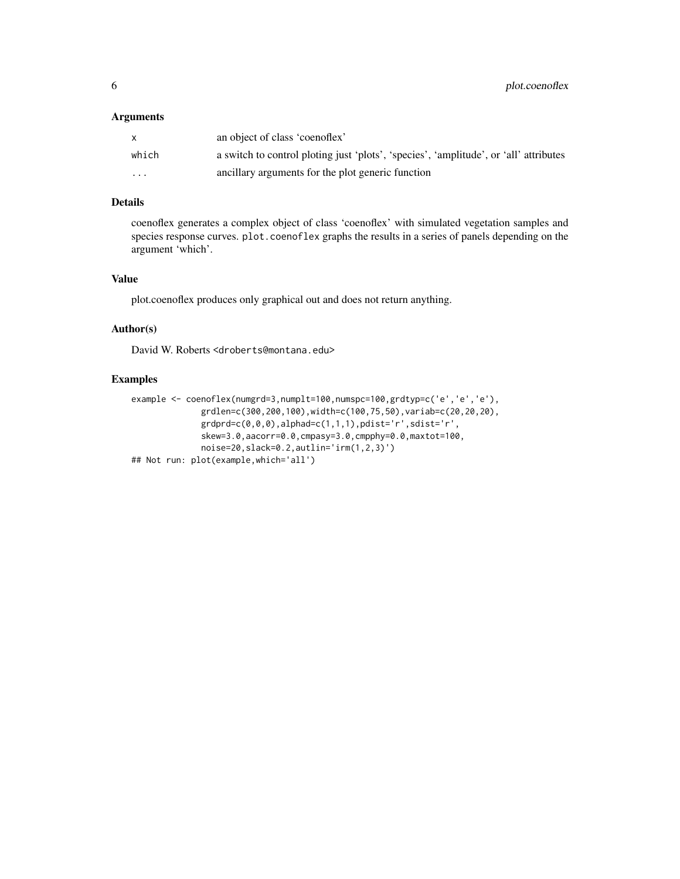#### Arguments

|                         | an object of class 'coenoflex'                                                        |
|-------------------------|---------------------------------------------------------------------------------------|
| which                   | a switch to control ploting just 'plots', 'species', 'amplitude', or 'all' attributes |
| $\cdot$ $\cdot$ $\cdot$ | ancillary arguments for the plot generic function                                     |

#### Details

coenoflex generates a complex object of class 'coenoflex' with simulated vegetation samples and species response curves. plot.coenoflex graphs the results in a series of panels depending on the argument 'which'.

#### Value

plot.coenoflex produces only graphical out and does not return anything.

#### Author(s)

David W. Roberts <droberts@montana.edu>

#### Examples

```
example <- coenoflex(numgrd=3,numplt=100,numspc=100,grdtyp=c('e','e','e'),
             grdlen=c(300,200,100),width=c(100,75,50),variab=c(20,20,20),
             grdprd=c(0,0,0),alphad=c(1,1,1),pdist='r',sdist='r',
             skew=3.0,aacorr=0.0,cmpasy=3.0,cmpphy=0.0,maxtot=100,
             noise=20,slack=0.2,autlin='irm(1,2,3)')
## Not run: plot(example,which='all')
```